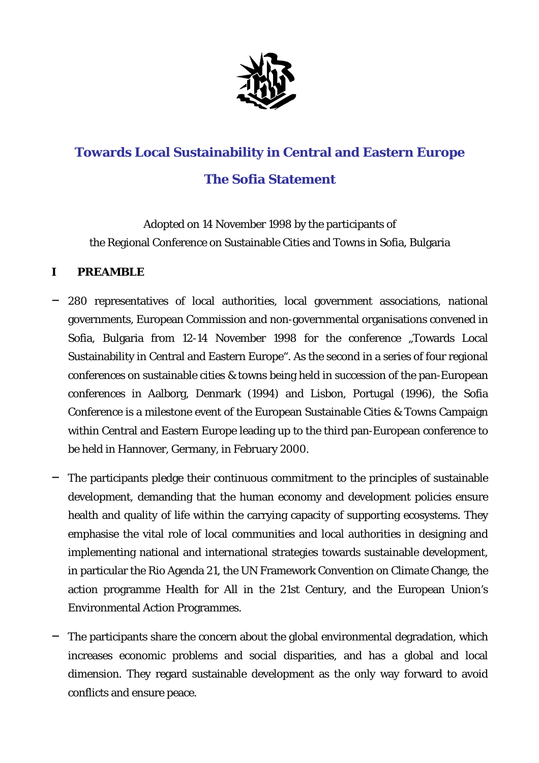

# **Towards Local Sustainability in Central and Eastern Europe The Sofia Statement**

Adopted on 14 November 1998 by the participants of the Regional Conference on Sustainable Cities and Towns in Sofia, Bulgaria

### **I PREAMBLE**

- 280 representatives of local authorities, local government associations, national governments, European Commission and non-governmental organisations convened in Sofia, Bulgaria from 12-14 November 1998 for the conference "Towards Local Sustainability in Central and Eastern Europe". As the second in a series of four regional conferences on sustainable cities & towns being held in succession of the pan-European conferences in Aalborg, Denmark (1994) and Lisbon, Portugal (1996), the Sofia Conference is a milestone event of the European Sustainable Cities & Towns Campaign within Central and Eastern Europe leading up to the third pan-European conference to be held in Hannover, Germany, in February 2000.
- The participants pledge their continuous commitment to the principles of sustainable development, demanding that the human economy and development policies ensure health and quality of life within the carrying capacity of supporting ecosystems. They emphasise the vital role of local communities and local authorities in designing and implementing national and international strategies towards sustainable development, in particular the Rio Agenda 21, the UN Framework Convention on Climate Change, the action programme Health for All in the 21st Century, and the European Union's Environmental Action Programmes.
- The participants share the concern about the global environmental degradation, which increases economic problems and social disparities, and has a global and local dimension. They regard sustainable development as the only way forward to avoid conflicts and ensure peace.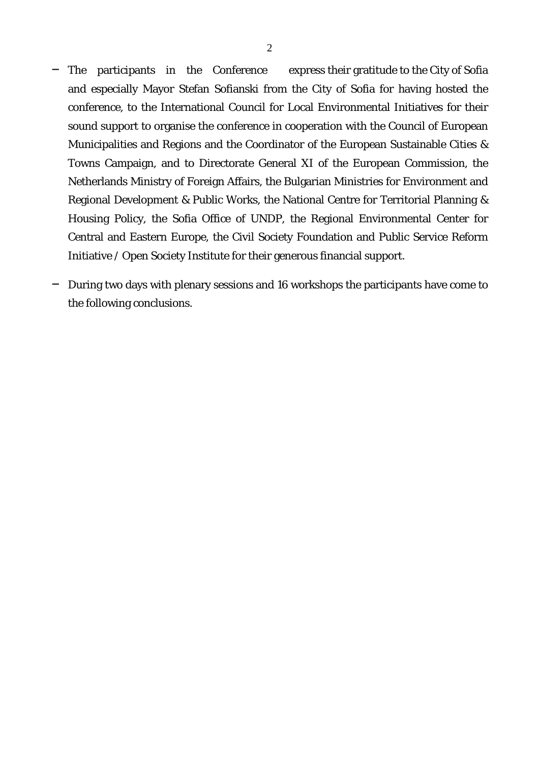- The participants in the Conference express their gratitude to the City of Sofia and especially Mayor Stefan Sofianski from the City of Sofia for having hosted the conference, to the International Council for Local Environmental Initiatives for their sound support to organise the conference in cooperation with the Council of European Municipalities and Regions and the Coordinator of the European Sustainable Cities & Towns Campaign, and to Directorate General XI of the European Commission, the Netherlands Ministry of Foreign Affairs, the Bulgarian Ministries for Environment and Regional Development & Public Works, the National Centre for Territorial Planning & Housing Policy, the Sofia Office of UNDP, the Regional Environmental Center for Central and Eastern Europe, the Civil Society Foundation and Public Service Reform Initiative / Open Society Institute for their generous financial support.
- During two days with plenary sessions and 16 workshops the participants have come to the following conclusions.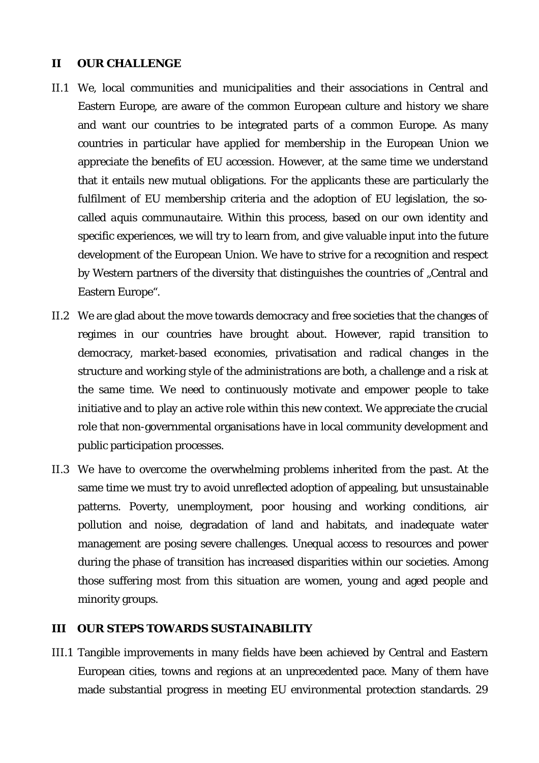#### **II OUR CHALLENGE**

- II.1 We, local communities and municipalities and their associations in Central and Eastern Europe, are aware of the common European culture and history we share and want our countries to be integrated parts of a common Europe. As many countries in particular have applied for membership in the European Union we appreciate the benefits of EU accession. However, at the same time we understand that it entails new mutual obligations. For the applicants these are particularly the fulfilment of EU membership criteria and the adoption of EU legislation, the socalled *aquis communautaire*. Within this process, based on our own identity and specific experiences, we will try to learn from, and give valuable input into the future development of the European Union. We have to strive for a recognition and respect by Western partners of the diversity that distinguishes the countries of "Central and Eastern Europe".
- II.2 We are glad about the move towards democracy and free societies that the changes of regimes in our countries have brought about. However, rapid transition to democracy, market-based economies, privatisation and radical changes in the structure and working style of the administrations are both, a challenge and a risk at the same time. We need to continuously motivate and empower people to take initiative and to play an active role within this new context. We appreciate the crucial role that non-governmental organisations have in local community development and public participation processes.
- II.3 We have to overcome the overwhelming problems inherited from the past. At the same time we must try to avoid unreflected adoption of appealing, but unsustainable patterns. Poverty, unemployment, poor housing and working conditions, air pollution and noise, degradation of land and habitats, and inadequate water management are posing severe challenges. Unequal access to resources and power during the phase of transition has increased disparities within our societies. Among those suffering most from this situation are women, young and aged people and minority groups.

#### **III OUR STEPS TOWARDS SUSTAINABILITY**

III.1 Tangible improvements in many fields have been achieved by Central and Eastern European cities, towns and regions at an unprecedented pace. Many of them have made substantial progress in meeting EU environmental protection standards. 29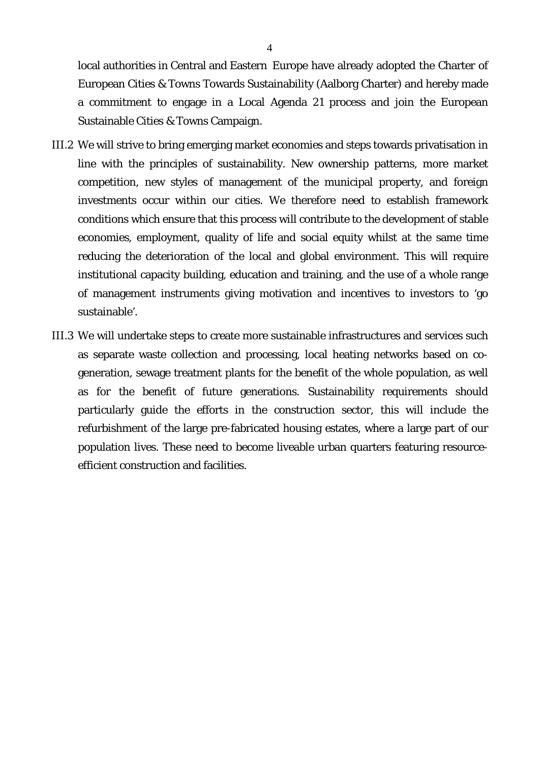local authorities in Central and Eastern Europe have already adopted the Charter of European Cities & Towns Towards Sustainability (Aalborg Charter) and hereby made a commitment to engage in a Local Agenda 21 process and join the European Sustainable Cities & Towns Campaign.

- III.2 We will strive to bring emerging market economies and steps towards privatisation in line with the principles of sustainability. New ownership patterns, more market competition, new styles of management of the municipal property, and foreign investments occur within our cities. We therefore need to establish framework conditions which ensure that this process will contribute to the development of stable economies, employment, quality of life and social equity whilst at the same time reducing the deterioration of the local and global environment. This will require institutional capacity building, education and training, and the use of a whole range of management instruments giving motivation and incentives to investors to 'go sustainable'.
- III.3 We will undertake steps to create more sustainable infrastructures and services such as separate waste collection and processing, local heating networks based on cogeneration, sewage treatment plants for the benefit of the whole population, as well as for the benefit of future generations. Sustainability requirements should particularly guide the efforts in the construction sector, this will include the refurbishment of the large pre-fabricated housing estates, where a large part of our population lives. These need to become liveable urban quarters featuring resourceefficient construction and facilities.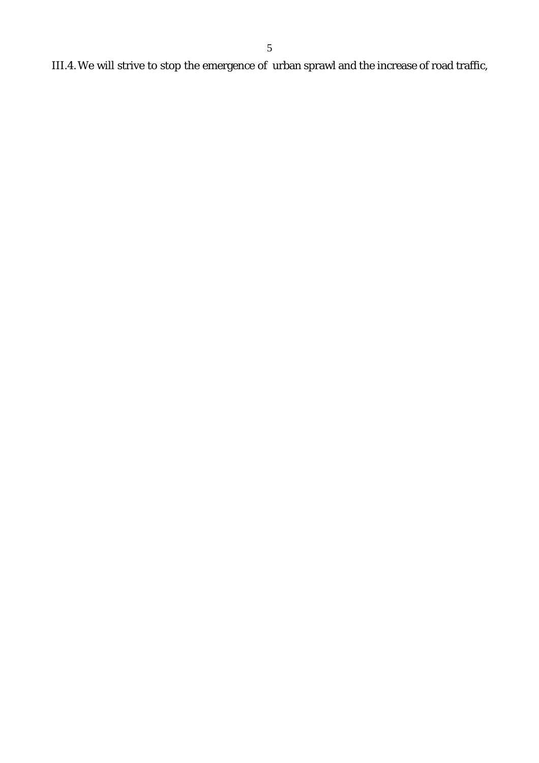III.4. We will strive to stop the emergence of urban sprawl and the increase of road traffic,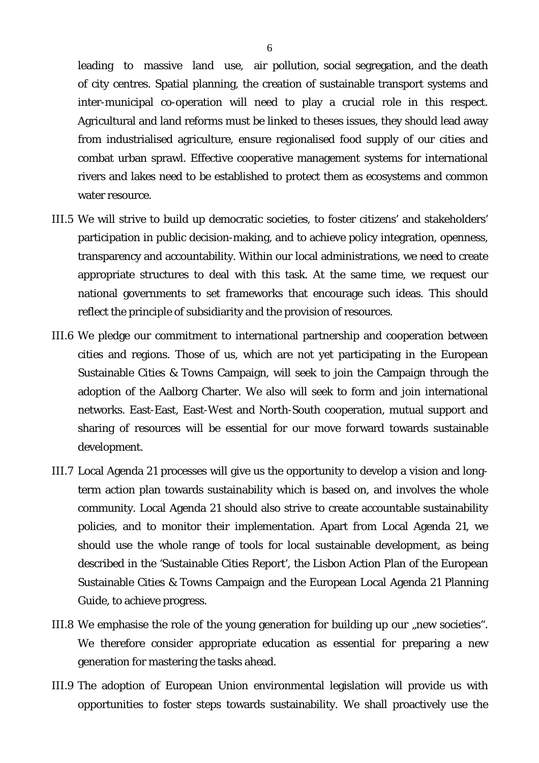leading to massive land use, air pollution, social segregation, and the death of city centres. Spatial planning, the creation of sustainable transport systems and inter-municipal co-operation will need to play a crucial role in this respect. Agricultural and land reforms must be linked to theses issues, they should lead away from industrialised agriculture, ensure regionalised food supply of our cities and combat urban sprawl. Effective cooperative management systems for international rivers and lakes need to be established to protect them as ecosystems and common water resource.

- III.5 We will strive to build up democratic societies, to foster citizens' and stakeholders' participation in public decision-making, and to achieve policy integration, openness, transparency and accountability. Within our local administrations, we need to create appropriate structures to deal with this task. At the same time, we request our national governments to set frameworks that encourage such ideas. This should reflect the principle of subsidiarity and the provision of resources.
- III.6 We pledge our commitment to international partnership and cooperation between cities and regions. Those of us, which are not yet participating in the European Sustainable Cities & Towns Campaign, will seek to join the Campaign through the adoption of the Aalborg Charter. We also will seek to form and join international networks. East-East, East-West and North-South cooperation, mutual support and sharing of resources will be essential for our move forward towards sustainable development.
- III.7 Local Agenda 21 processes will give us the opportunity to develop a vision and longterm action plan towards sustainability which is based on, and involves the whole community. Local Agenda 21 should also strive to create accountable sustainability policies, and to monitor their implementation. Apart from Local Agenda 21, we should use the whole range of tools for local sustainable development, as being described in the 'Sustainable Cities Report', the Lisbon Action Plan of the European Sustainable Cities & Towns Campaign and the European Local Agenda 21 Planning Guide, to achieve progress.
- III.8 We emphasise the role of the young generation for building up our "new societies". We therefore consider appropriate education as essential for preparing a new generation for mastering the tasks ahead.
- III.9 The adoption of European Union environmental legislation will provide us with opportunities to foster steps towards sustainability. We shall proactively use the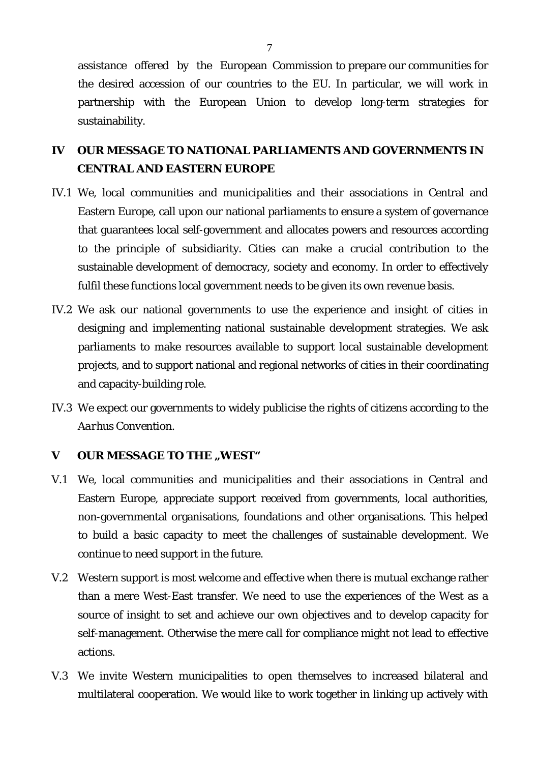assistance offered by the European Commission to prepare our communities for the desired accession of our countries to the EU. In particular, we will work in partnership with the European Union to develop long-term strategies for sustainability.

## **IV OUR MESSAGE TO NATIONAL PARLIAMENTS AND GOVERNMENTS IN CENTRAL AND EASTERN EUROPE**

- IV.1 We, local communities and municipalities and their associations in Central and Eastern Europe, call upon our national parliaments to ensure a system of governance that guarantees local self-government and allocates powers and resources according to the principle of subsidiarity. Cities can make a crucial contribution to the sustainable development of democracy, society and economy. In order to effectively fulfil these functions local government needs to be given its own revenue basis.
- IV.2 We ask our national governments to use the experience and insight of cities in designing and implementing national sustainable development strategies. We ask parliaments to make resources available to support local sustainable development projects, and to support national and regional networks of cities in their coordinating and capacity-building role.
- IV.3 We expect our governments to widely publicise the rights of citizens according to the *Aarhus Convention*.

#### **V OUR MESSAGE TO THE ..WEST"**

- V.1 We, local communities and municipalities and their associations in Central and Eastern Europe, appreciate support received from governments, local authorities, non-governmental organisations, foundations and other organisations. This helped to build a basic capacity to meet the challenges of sustainable development. We continue to need support in the future.
- V.2 Western support is most welcome and effective when there is mutual exchange rather than a mere West-East transfer. We need to use the experiences of the West as a source of insight to set and achieve our own objectives and to develop capacity for self-management. Otherwise the mere call for compliance might not lead to effective actions.
- V.3 We invite Western municipalities to open themselves to increased bilateral and multilateral cooperation. We would like to work together in linking up actively with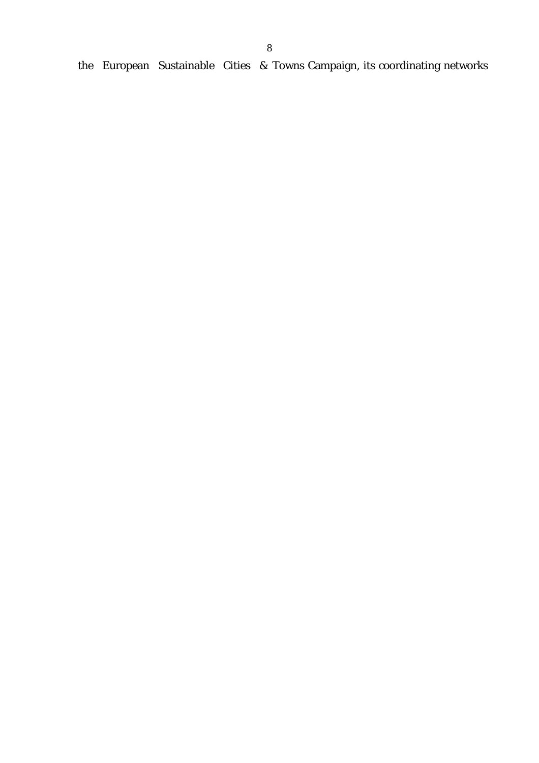the European Sustainable Cities & Towns Campaign, its coordinating networks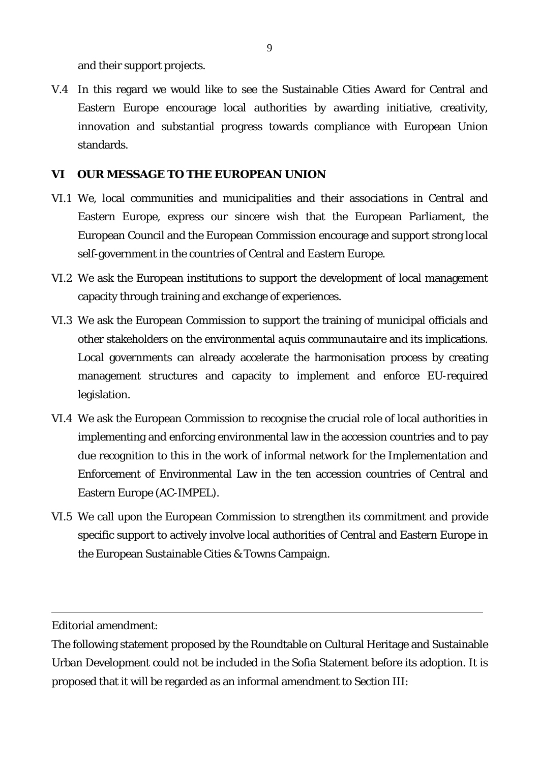and their support projects.

V.4 In this regard we would like to see the Sustainable Cities Award for Central and Eastern Europe encourage local authorities by awarding initiative, creativity, innovation and substantial progress towards compliance with European Union standards.

#### **VI OUR MESSAGE TO THE EUROPEAN UNION**

- VI.1 We, local communities and municipalities and their associations in Central and Eastern Europe, express our sincere wish that the European Parliament, the European Council and the European Commission encourage and support strong local self-government in the countries of Central and Eastern Europe.
- VI.2 We ask the European institutions to support the development of local management capacity through training and exchange of experiences.
- VI.3 We ask the European Commission to support the training of municipal officials and other stakeholders on the environmental *aquis communautaire* and its implications. Local governments can already accelerate the harmonisation process by creating management structures and capacity to implement and enforce EU-required legislation.
- VI.4 We ask the European Commission to recognise the crucial role of local authorities in implementing and enforcing environmental law in the accession countries and to pay due recognition to this in the work of informal network for the Implementation and Enforcement of Environmental Law in the ten accession countries of Central and Eastern Europe (AC-IMPEL).
- VI.5 We call upon the European Commission to strengthen its commitment and provide specific support to actively involve local authorities of Central and Eastern Europe in the European Sustainable Cities & Towns Campaign.

Editorial amendment:

The following statement proposed by the Roundtable on Cultural Heritage and Sustainable Urban Development could not be included in the Sofia Statement before its adoption. It is proposed that it will be regarded as an informal amendment to Section III: